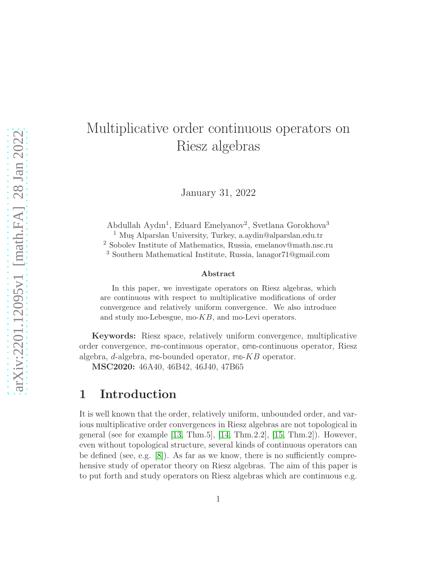# Multiplicative order continuous operators on Riesz algebras

January 31, 2022

Abdullah Aydın<sup>1</sup>, Eduard Emelyanov<sup>2</sup>, Svetlana Gorokhova<sup>3</sup> <sup>1</sup> Mus Alparslan University, Turkey, a.aydin@alparslan.edu.tr <sup>2</sup> Sobolev Institute of Mathematics, Russia, emelanov@math.nsc.ru <sup>3</sup> Southern Mathematical Institute, Russia, lanagor71@gmail.com

#### Abstract

In this paper, we investigate operators on Riesz algebras, which are continuous with respect to multiplicative modifications of order convergence and relatively uniform convergence. We also introduce and study mo-Lebesgue, mo-KB, and mo-Levi operators.

Keywords: Riesz space, relatively uniform convergence, multiplicative order convergence, **mo**-continuous operator, **omo**-continuous operator, Riesz algebra, d-algebra, **mo**-bounded operator, **mo**-KB operator.

MSC2020: 46A40, 46B42, 46J40, 47B65

### 1 Introduction

It is well known that the order, relatively uniform, unbounded order, and various multiplicative order convergences in Riesz algebras are not topological in general (see for example  $[13, Thm.5]$ ,  $[14, Thm.2.2]$ ,  $[15, Thm.2]$ ). However, even without topological structure, several kinds of continuous operators can be defined (see, e.g. [\[8\]](#page-12-3)). As far as we know, there is no sufficiently comprehensive study of operator theory on Riesz algebras. The aim of this paper is to put forth and study operators on Riesz algebras which are continuous e.g.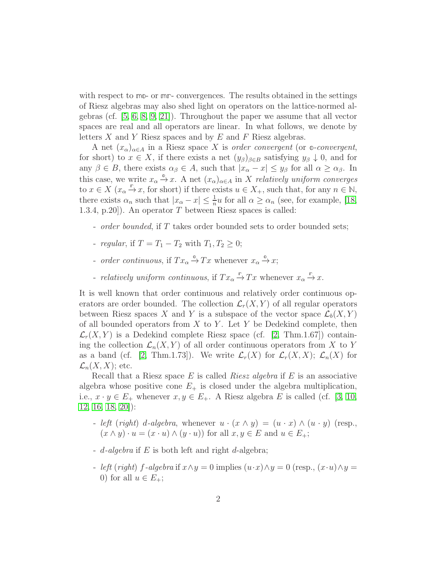with respect to **mo**- or **mr**- convergences. The results obtained in the settings of Riesz algebras may also shed light on operators on the lattice-normed algebras (cf. [\[5,](#page-12-4) [6,](#page-12-5) [8,](#page-12-3) [9,](#page-12-6) [21\]](#page-13-0)). Throughout the paper we assume that all vector spaces are real and all operators are linear. In what follows, we denote by letters  $X$  and  $Y$  Riesz spaces and by  $E$  and  $F$  Riesz algebras.

A net  $(x_{\alpha})_{\alpha \in A}$  in a Riesz space X is order convergent (or  $\infty$ -convergent, for short) to  $x \in X$ , if there exists a net  $(y_{\beta})_{\beta \in B}$  satisfying  $y_{\beta} \downarrow 0$ , and for any  $\beta \in B$ , there exists  $\alpha_{\beta} \in A$ , such that  $|x_{\alpha}-x| \leq y_{\beta}$  for all  $\alpha \geq \alpha_{\beta}$ . In this case, we write  $x_{\alpha} \xrightarrow{\Phi} x$ . A net  $(x_{\alpha})_{\alpha \in A}$  in X relatively uniform converges to  $x \in X$  ( $x_{\alpha} \xrightarrow{\alpha} x$ , for short) if there exists  $u \in X_+$ , such that, for any  $n \in \mathbb{N}$ , there exists  $\alpha_n$  such that  $|x_\alpha - x| \leq \frac{1}{n}u$  for all  $\alpha \geq \alpha_n$  (see, for example, [\[18,](#page-13-1) 1.3.4, p.20]). An operator T between Riesz spaces is called:

- *order bounded*, if T takes order bounded sets to order bounded sets;
- *regular*, if  $T = T_1 T_2$  with  $T_1, T_2 \geq 0$ ;
- *order continuous*, if  $Tx_\alpha \xrightarrow{\Phi} Tx$  whenever  $x_\alpha \xrightarrow{\Phi} x$ ;
- *relatively uniform continuous*, if  $Tx_\alpha \overset{\mathbb{r}}{\rightarrow} Tx$  whenever  $x_\alpha \overset{\mathbb{r}}{\rightarrow} x$ .

It is well known that order continuous and relatively order continuous operators are order bounded. The collection  $\mathcal{L}_r(X, Y)$  of all regular operators between Riesz spaces X and Y is a subspace of the vector space  $\mathcal{L}_b(X, Y)$ of all bounded operators from  $X$  to  $Y$ . Let  $Y$  be Dedekind complete, then  $\mathcal{L}_r(X, Y)$  is a Dedekind complete Riesz space (cf. [\[2,](#page-12-7) Thm.1.67]) containing the collection  $\mathcal{L}_n(X, Y)$  of all order continuous operators from X to Y as a band (cf. [\[2,](#page-12-7) Thm.1.73]). We write  $\mathcal{L}_r(X)$  for  $\mathcal{L}_r(X,X)$ ;  $\mathcal{L}_n(X)$  for  $\mathcal{L}_n(X,X)$ ; etc.

Recall that a Riesz space  $E$  is called *Riesz algebra* if  $E$  is an associative algebra whose positive cone  $E_{+}$  is closed under the algebra multiplication, i.e.,  $x \cdot y \in E_+$  whenever  $x, y \in E_+$ . A Riesz algebra E is called (cf. [\[3,](#page-12-8) [10,](#page-12-9) [12,](#page-12-10) [16,](#page-13-2) [18,](#page-13-1) [20\]](#page-13-3)):

- left (right) d-algebra, whenever  $u \cdot (x \wedge y) = (u \cdot x) \wedge (u \cdot y)$  (resp.,  $(x \wedge y) \cdot u = (x \cdot u) \wedge (y \cdot u)$  for all  $x, y \in E$  and  $u \in E_+$ ;
- $d$ -algebra if E is both left and right  $d$ -algebra;
- left (right) f-algebra if  $x \wedge y = 0$  implies  $(u \cdot x) \wedge y = 0$  (resp.,  $(x \cdot u) \wedge y = 0$ 0) for all  $u \in E_+$ ;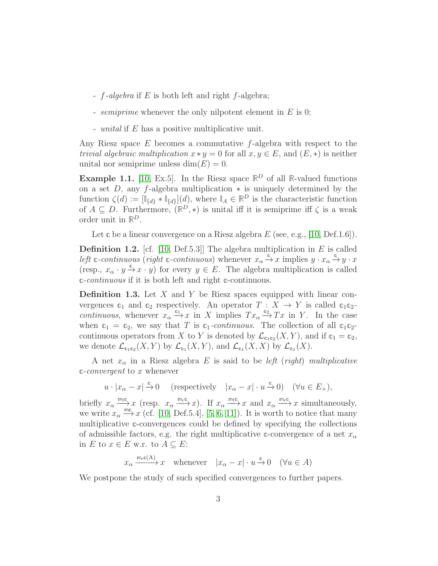- $f$ -algebra if E is both left and right  $f$ -algebra;
- *semiprime* whenever the only nilpotent element in  $E$  is 0;
- unital if E has a positive multiplicative unit.

Any Riesz space  $E$  becomes a commutative  $f$ -algebra with respect to the *trivial algebraic multiplication*  $x * y = 0$  for all  $x, y \in E$ , and  $(E, *)$  is neither unital nor semiprime unless  $\dim(E) = 0$ .

**Example 1.1.** [\[10,](#page-12-9) Ex.5]. In the Riesz space  $\mathbb{R}^D$  of all R-valued functions on a set  $D$ , any f-algebra multiplication  $*$  is uniquely determined by the function  $\zeta(d) := [\mathbb{I}_{\{d\}} * \mathbb{I}_{\{d\}}](d)$ , where  $\mathbb{I}_A \in \mathbb{R}^D$  is the characteristic function of  $A \subseteq D$ . Furthermore,  $(\mathbb{R}^D, *)$  is unital iff it is semiprime iff  $\zeta$  is a weak order unit in **R** D.

Let  $\mathfrak c$  be a linear convergence on a Riesz algebra  $E$  (see, e.g., [\[10,](#page-12-9) Def.1.6]).

**Definition 1.2.** [cf. [\[10,](#page-12-9) Def.5.3]] The algebra multiplication in  $E$  is called Left  $c$ -continuous (right  $c$ -continuous) whenever  $x_\alpha \xrightarrow{c} x$  implies  $y \cdot x_\alpha \xrightarrow{c} y \cdot x$ (resp.,  $x_{\alpha} \cdot y \xrightarrow{\alpha} x \cdot y$ ) for every  $y \in E$ . The algebra multiplication is called **c**-continuous if it is both left and right **c**-continuous.

**Definition 1.3.** Let  $X$  and  $Y$  be Riesz spaces equipped with linear convergences  $\mathfrak{c}_1$  and  $\mathfrak{c}_2$  respectively. An operator  $T : X \to Y$  is called  $\mathfrak{c}_1 \mathfrak{c}_2$ continuous, whenever  $x_{\alpha} \xrightarrow{\alpha_1} x$  in X implies  $Tx_{\alpha} \xrightarrow{\alpha_2} Tx$  in Y. In the case when  $\mathfrak{c}_1 = \mathfrak{c}_2$ , we say that T is  $\mathfrak{c}_1$ -continuous. The collection of all  $\mathfrak{c}_1 \mathfrak{c}_2$ continuous operators from X to Y is denoted by  $\mathcal{L}_{c_1c_2}(X, Y)$ , and if  $c_1 = c_2$ , we denote  $\mathcal{L}_{\mathfrak{c}_1 \mathfrak{c}_2}(X, Y)$  by  $\mathcal{L}_{\mathfrak{c}_1}(X, Y)$ , and  $\mathcal{L}_{\mathfrak{c}_1}(X, X)$  by  $\mathcal{L}_{\mathfrak{c}_1}(X)$ .

A net  $x_{\alpha}$  in a Riesz algebra E is said to be *left* (right) multiplicative **c**-convergent to x whenever

$$
u \cdot |x_{\alpha} - x| \xrightarrow{\mathbb{c}} 0
$$
 (respectively  $|x_{\alpha} - x| \cdot u \xrightarrow{\mathbb{c}} 0$ ) ( $\forall u \in E_+$ ),

briefly  $x_{\alpha} \xrightarrow{m_1 c} x$  (resp.  $x_{\alpha} \xrightarrow{m_1 c} x$ ). If  $x_{\alpha} \xrightarrow{m_1 c} x$  and  $x_{\alpha} \xrightarrow{m_1 c} x$  simultaneously, we write  $x_{\alpha} \stackrel{\text{mc}}{\longrightarrow} x$  (cf. [\[10,](#page-12-9) Def.5.4], [\[5,](#page-12-4) [6,](#page-12-5) [11\]](#page-12-11)). It is worth to notice that many multiplicative  $\mathfrak{c}$ -convergences could be defined by specifying the collections of admissible factors, e.g. the right multiplicative  $\mathfrak{c}$ -convergence of a net  $x_{\alpha}$ in E to  $x \in E$  w.r. to  $A \subseteq E$ :

 $x_{\alpha} \xrightarrow{\mathfrak{m}_r \mathfrak{C}(A)} x$  whenever  $|x_{\alpha} - x| \cdot u \xrightarrow{\mathfrak{C}} 0 \quad (\forall u \in A)$ 

We postpone the study of such specified convergences to further papers.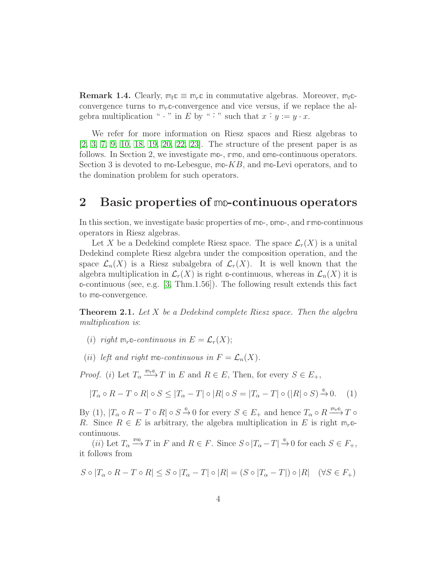**Remark 1.4.** Clearly,  $m_l c \equiv m_r c$  in commutative algebras. Moreover,  $m_l c$ convergence turns to **m**r**c**-convergence and vice versus, if we replace the algebra multiplication "  $\cdot$  " in E by "  $\hat{\cdot}$  " such that  $x \hat{\cdot} y := y \cdot x$ .

We refer for more information on Riesz spaces and Riesz algebras to [\[2,](#page-12-7) [3,](#page-12-8) [7,](#page-12-12) [9,](#page-12-6) [10,](#page-12-9) [18,](#page-13-1) [19,](#page-13-4) [20,](#page-13-3) [22,](#page-13-5) [23\]](#page-13-6). The structure of the present paper is as follows. In Section 2, we investigate **mo**-, **rmo**, and **omo**-continuous operators. Section 3 is devoted to **mo**-Lebesgue, **mo**-KB, and **mo**-Levi operators, and to the domination problem for such operators.

#### 2 Basic properties of **mo**-continuous operators

In this section, we investigate basic properties of **mo**-, **omo**-, and **rmo**-continuous operators in Riesz algebras.

Let X be a Dedekind complete Riesz space. The space  $\mathcal{L}_r(X)$  is a unital Dedekind complete Riesz algebra under the composition operation, and the space  $\mathcal{L}_n(X)$  is a Riesz subalgebra of  $\mathcal{L}_r(X)$ . It is well known that the algebra multiplication in  $\mathcal{L}_r(X)$  is right  $\Phi$ -continuous, whereas in  $\mathcal{L}_n(X)$  it is **o**-continuous (see, e.g. [\[3,](#page-12-8) Thm.1.56]). The following result extends this fact to **mo**-convergence.

**Theorem 2.1.** Let  $X$  be a Dedekind complete Riesz space. Then the algebra multiplication is:

(i) right  $m_r \circ$ -continuous in  $E = \mathcal{L}_r(X);$ 

(*ii*) left and right mo-continuous in  $F = \mathcal{L}_n(X)$ .

*Proof.* (i) Let  $T_{\alpha} \xrightarrow{m_{r} \mathfrak{O}} T$  in E and  $R \in E$ , Then, for every  $S \in E_{+}$ ,

$$
|T_{\alpha} \circ R - T \circ R| \circ S \le |T_{\alpha} - T| \circ |R| \circ S = |T_{\alpha} - T| \circ (|R| \circ S) \xrightarrow{\mathbb{0}} 0. \quad (1)
$$

By (1),  $|T_\alpha \circ R - T \circ R| \circ S \xrightarrow{\Phi} 0$  for every  $S \in E_+$  and hence  $T_\alpha \circ R \xrightarrow{m_r \omega} T \circ R$ R. Since  $R \in E$  is arbitrary, the algebra multiplication in E is right  $m_r \circ$ continuous.

(ii) Let  $T_{\alpha} \stackrel{\text{mon}}{\longrightarrow} T$  in F and  $R \in F$ . Since  $S \circ |T_{\alpha} - T| \stackrel{\circ}{\to} 0$  for each  $S \in F_+$ , it follows from

$$
S \circ |T_\alpha \circ R - T \circ R| \le S \circ |T_\alpha - T| \circ |R| = (S \circ |T_\alpha - T|) \circ |R| \quad (\forall S \in F_+)
$$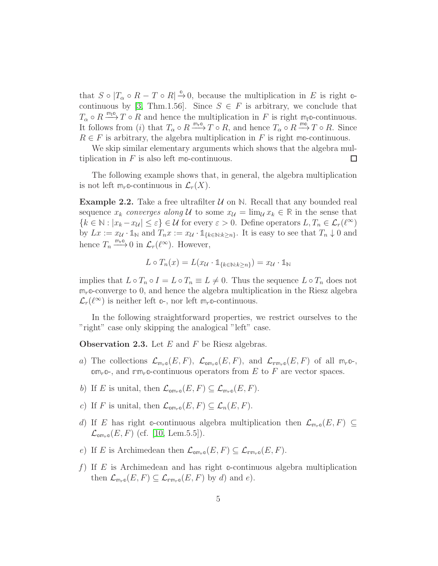that  $S \circ |T_\alpha \circ R - T \circ R| \stackrel{\circ}{\to} 0$ , because the multiplication in E is right  $\circ$ -continuous by [\[3,](#page-12-8) Thm.1.56]. Since  $S \in F$  is arbitrary, we conclude that  $T_{\alpha} \circ R \stackrel{\text{m}_1 \circ}{\longrightarrow} T \circ \stackrel{\circ}{R}$  and hence the multiplication in F is right  $\mathfrak{m}_l$ <sup>o</sup>-continuous. It follows from (i) that  $T_{\alpha} \circ R \xrightarrow{m_r \alpha} T \circ R$ , and hence  $T_{\alpha} \circ R \xrightarrow{m_0 \alpha} T \circ R$ . Since  $R \in F$  is arbitrary, the algebra multiplication in F is right mo-continuous.

We skip similar elementary arguments which shows that the algebra multiplication in F is also left **mo**-continuous. П

The following example shows that, in general, the algebra multiplication is not left  $m_r$ **o**-continuous in  $\mathcal{L}_r(X)$ .

**Example 2.2.** Take a free ultrafilter  $U$  on  $N$ . Recall that any bounded real sequence  $x_k$  converges along U to some  $x_{\mathcal{U}} = \lim_{\mathcal{U}} x_k \in \mathbb{R}$  in the sense that  ${k \in \mathbb{N} : |x_k - x_{\mathcal{U}}| \leq \varepsilon} \in \mathcal{U}$  for every  $\varepsilon > 0$ . Define operators  $L, T_n \in \mathcal{L}_r(\ell^{\infty})$ by  $Lx := x_{\mathcal{U}} \cdot \mathbb{1}_{\mathbb{N}}$  and  $T_n x := x_{\mathcal{U}} \cdot \mathbb{1}_{\{k \in \mathbb{N} : k \geq n\}}$ . It is easy to see that  $T_n \downarrow 0$  and hence  $T_n \xrightarrow{m_r \Phi} 0$  in  $\mathcal{L}_r(\ell^{\infty})$ . However,

$$
L \circ T_n(x) = L(x_{\mathcal{U}} \cdot \mathbb{1}_{\{k \in \mathbb{N} : k \ge n\}}) = x_{\mathcal{U}} \cdot \mathbb{1}_{\mathbb{N}}
$$

implies that  $L \circ T_n \circ I = L \circ T_n \equiv L \neq 0$ . Thus the sequence  $L \circ T_n$  does not **m**r**o**-converge to 0, and hence the algebra multiplication in the Riesz algebra  $\mathcal{L}_r(\ell^{\infty})$  is neither left  $\mathbb{O}$ -, nor left  $\mathbb{m}_r \mathbb{O}$ -continuous.

In the following straightforward properties, we restrict ourselves to the "right" case only skipping the analogical "left" case.

**Observation 2.3.** Let  $E$  and  $F$  be Riesz algebras.

- a) The collections  $\mathcal{L}_{m_r, \mathcal{O}}(E, F)$ ,  $\mathcal{L}_{\mathcal{O}m_r, \mathcal{O}}(E, F)$ , and  $\mathcal{L}_{\mathcal{P}m_r, \mathcal{O}}(E, F)$  of all  $m_r \mathcal{O}$ - $\mathfrak{om}_{r}\mathfrak{O}_{r}$ , and  $\mathfrak{rm}_{r}\mathfrak{O}_{r}$ -continuous operators from E to F are vector spaces.
- b) If E is unital, then  $\mathcal{L}_{\text{om}_r \circ}(E, F) \subseteq \mathcal{L}_{\text{m}_r \circ}(E, F)$ .
- c) If F is unital, then  $\mathcal{L}_{\text{om},\infty}(E,F) \subseteq \mathcal{L}_n(E,F)$ .
- d) If E has right  $\circ$ -continuous algebra multiplication then  $\mathcal{L}_{m_r\circ}(E,F) \subseteq$  $\mathcal{L}_{\text{om}_{r}\circ}(E, F)$  (cf. [\[10,](#page-12-9) Lem.5.5]).
- e) If E is Archimedean then  $\mathcal{L}_{\text{om}_r \circ}(E, F) \subseteq \mathcal{L}_{\text{rem}_r \circ}(E, F)$ .
- f) If E is Archimedean and has right **o**-continuous algebra multiplication then  $\mathcal{L}_{m_r o}(E, F) \subseteq \mathcal{L}_{m_r o}(E, F)$  by d) and e).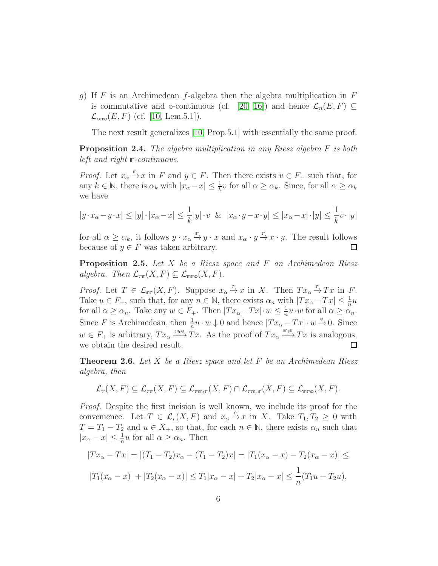g) If F is an Archimedean f-algebra then the algebra multiplication in F is commutative and  $\Phi$ -continuous (cf. [\[20,](#page-13-3) [16\]](#page-13-2)) and hence  $\mathcal{L}_n(E, F) \subseteq$  $\mathcal{L}_{\text{omo}}(E, F)$  (cf. [\[10,](#page-12-9) Lem.5.1]).

The next result generalizes [\[10,](#page-12-9) Prop.5.1] with essentially the same proof.

Proposition 2.4. The algebra multiplication in any Riesz algebra F is both left and right **r**-continuous.

*Proof.* Let  $x_{\alpha} \xrightarrow{\mathbb{r}} x$  in F and  $y \in F$ . Then there exists  $v \in F_+$  such that, for any  $k \in \mathbb{N}$ , there is  $\alpha_k$  with  $|x_\alpha - x| \leq \frac{1}{k}v$  for all  $\alpha \geq \alpha_k$ . Since, for all  $\alpha \geq \alpha_k$ we have

$$
|y \cdot x_{\alpha} - y \cdot x| \le |y| \cdot |x_{\alpha} - x| \le \frac{1}{k}|y| \cdot v \& |x_{\alpha} \cdot y - x \cdot y| \le |x_{\alpha} - x| \cdot |y| \le \frac{1}{k}v \cdot |y|
$$

for all  $\alpha \geq \alpha_k$ , it follows  $y \cdot x_\alpha \stackrel{\mathbb{r}}{\rightarrow} y \cdot x$  and  $x_\alpha \cdot y \stackrel{\mathbb{r}}{\rightarrow} x \cdot y$ . The result follows because of  $y \in F$  was taken arbitrary.  $\Box$ 

**Proposition 2.5.** Let  $X$  be a Riesz space and  $F$  an Archimedean Riesz algebra. Then  $\mathcal{L}_{\text{rrf}}(X, F) \subseteq \mathcal{L}_{\text{rmp}}(X, F)$ .

Proof. Let  $T \in \mathcal{L}_{rr}(X, F)$ . Suppose  $x_{\alpha} \stackrel{\mathbb{F}}{\rightarrow} x$  in X. Then  $Tx_{\alpha} \stackrel{\mathbb{F}}{\rightarrow} Tx$  in F. Take  $u \in F_+$ , such that, for any  $n \in \mathbb{N}$ , there exists  $\alpha_n$  with  $|Tx_\alpha - Tx| \leq \frac{1}{n}u$ for all  $\alpha \geq \alpha_n$ . Take any  $w \in F_+$ . Then  $|Tx_{\alpha}-Tx| \cdot w \leq \frac{1}{n}$  $\frac{1}{n}u \cdot w$  for all  $\alpha \geq \alpha_n$ . Since F is Archimedean, then  $\frac{1}{n}u \cdot w \downarrow 0$  and hence  $|Tx_\alpha-Tx| \cdot w \xrightarrow{\mathfrak{D}} 0$ . Since  $w \in F_+$  is arbitrary,  $Tx_\alpha \stackrel{m_{\text{r}}\circ}{\longrightarrow} Tx$ . As the proof of  $Tx_\alpha \stackrel{m_{\text{r}}\circ}{\longrightarrow} Tx$  is analogous, we obtain the desired result.  $\Box$ 

**Theorem 2.6.** Let  $X$  be a Riesz space and let  $F$  be an Archimedean Riesz algebra, then

$$
\mathcal{L}_r(X,F) \subseteq \mathcal{L}_{\text{rfr}}(X,F) \subseteq \mathcal{L}_{\text{rrm}_{\ell}r}(X,F) \cap \mathcal{L}_{\text{rrm}_{r}r}(X,F) \subseteq \mathcal{L}_{\text{rrm}(X,F).
$$

Proof. Despite the first incision is well known, we include its proof for the convenience. Let  $T \in \mathcal{L}_r(X, F)$  and  $x_\alpha \overset{\mathbb{F}}{\rightarrow} x$  in X. Take  $T_1, T_2 \geq 0$  with  $T = T_1 - T_2$  and  $u \in X_+$ , so that, for each  $n \in \mathbb{N}$ , there exists  $\alpha_n$  such that  $|x_{\alpha}-x| \leq \frac{1}{n}u$  for all  $\alpha \geq \alpha_n$ . Then

$$
|Tx_{\alpha} - Tx| = |(T_1 - T_2)x_{\alpha} - (T_1 - T_2)x| = |T_1(x_{\alpha} - x) - T_2(x_{\alpha} - x)| \le
$$
  

$$
|T_1(x_{\alpha} - x)| + |T_2(x_{\alpha} - x)| \le T_1|x_{\alpha} - x| + T_2|x_{\alpha} - x| \le \frac{1}{n}(T_1u + T_2u),
$$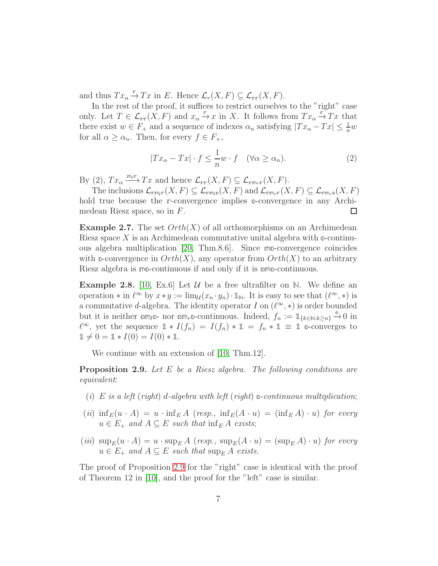and thus  $Tx_{\alpha} \xrightarrow{\mathbb{r}} Tx$  in E. Hence  $\mathcal{L}_r(X, F) \subseteq \mathcal{L}_{rr}(X, F)$ .

In the rest of the proof, it suffices to restrict ourselves to the "right" case only. Let  $T \in \mathcal{L}_{rr}(X, F)$  and  $x_{\alpha} \stackrel{\mathbb{F}}{\rightarrow} x$  in X. It follows from  $Tx_{\alpha} \stackrel{\mathbb{F}}{\rightarrow} Tx$  that there exist  $w \in F_+$  and a sequence of indexes  $\alpha_n$  satisfying  $|Tx_\alpha - Tx| \leq \frac{1}{n}w$ for all  $\alpha \geq \alpha_n$ . Then, for every  $f \in F_+$ ,

$$
|Tx_{\alpha} - Tx| \cdot f \le \frac{1}{n}w \cdot f \quad (\forall \alpha \ge \alpha_n). \tag{2}
$$

By (2),  $Tx_{\alpha} \xrightarrow{m_r r} Tx$  and hence  $\mathcal{L}_{rrr}(X, F) \subseteq \mathcal{L}_{rrm_r r}(X, F)$ .

The inclusions  $\mathcal{L}_{\text{rem}_{l} \mathbb{P}}(X, F) \subseteq \mathcal{L}_{\text{rem}_{l} \mathbb{O}}(X, F)$  and  $\mathcal{L}_{\text{rem}_{r} \mathbb{P}}(X, F) \subseteq \mathcal{L}_{\text{rem}_{r} \mathbb{O}}(X, F)$ hold true because the **r**-convergence implies **o**-convergence in any Archimedean Riesz space, so in F. □

**Example 2.7.** The set  $Orth(X)$  of all orthomorphisms on an Archimedean Riesz space X is an Archimedean commutative unital algebra with **o**-continuous algebra multiplication [\[20,](#page-13-3) Thm.8.6]. Since **mo**-convergence coincides with  $\infty$ -convergence in  $Orth(X)$ , any operator from  $Orth(X)$  to an arbitrary Riesz algebra is **mo**-continuous if and only if it is **omo**-continuous.

**Example 2.8.** [\[10,](#page-12-9) Ex.6] Let  $\mathcal{U}$  be a free ultrafilter on N. We define an operation  $*$  in  $\ell^{\infty}$  by  $x * y := \lim_{\mathcal{U}} (x_n \cdot y_n) \cdot \mathbb{1}_{\mathbb{N}}$ . It is easy to see that  $(\ell^{\infty}, *)$  is a commutative d-algebra. The identity operator I on  $(\ell^{\infty}, *)$  is order bounded but it is neither  $\text{om}_{l}$  o- nor  $\text{om}_{r}$  o-continuous. Indeed,  $f_{n} := 1_{\{k \in \mathbb{N}: k \geq n\}} \stackrel{\circ}{\to} 0$  in  $\ell^{\infty}$ , yet the sequence  $1 * I(f_n) = I(f_n) * 1 = f_n * 1 \equiv 1$  o-converges to  $1 \neq 0 = 1 * I(0) = I(0) * 1.$ 

We continue with an extension of [\[10,](#page-12-9) Thm.12].

<span id="page-6-0"></span>Proposition 2.9. Let E be a Riesz algebra. The following conditions are equivalent:

- (i) E is a left (right) d-algebra with left (right)  $\infty$ -continuous multiplication;
- (ii)  $\inf_E(u \cdot A) = u \cdot \inf_E A$  (resp.,  $\inf_E(A \cdot u) = (\inf_E A) \cdot u$ ) for every  $u \in E_+$  and  $A \subseteq E$  such that  $\inf_{E} A$  exists;
- (iii)  $\sup_E(u \cdot A) = u \cdot \sup_E A$  (resp.,  $\sup_E(A \cdot u) = (\sup_E A) \cdot u$ ) for every  $u \in E_+$  and  $A \subseteq E$  such that  $\sup_{E} A$  exists.

The proof of Proposition [2.9](#page-6-0) for the "right" case is identical with the proof of Theorem 12 in [\[10\]](#page-12-9), and the proof for the "left" case is similar.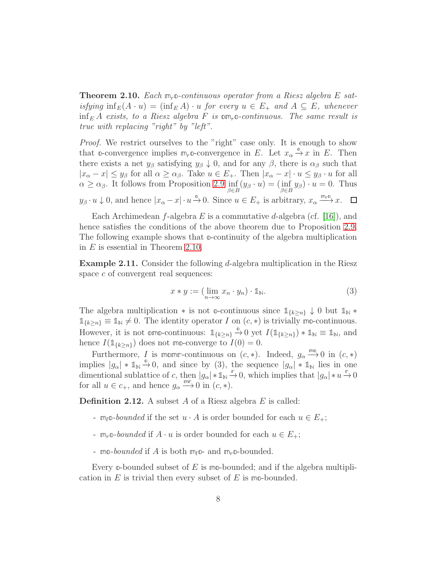<span id="page-7-0"></span>Theorem 2.10. Each **m**r**o**-continuous operator from a Riesz algebra E satisfying  $\inf_E(A \cdot u) = (\inf_E A) \cdot u$  for every  $u \in E_+$  and  $A \subseteq E$ , whenever  $\inf_E A$  exists, to a Riesz algebra F is  $\mathfrak{om}_{r}$  o-continuous. The same result is true with replacing "right" by "left".

Proof. We restrict ourselves to the "right" case only. It is enough to show that  $\circ$ -convergence implies  $\mathfrak{m}_r \circ$ -convergence in E. Let  $x_\alpha \overset{\circ}{\to} x$  in E. Then there exists a net  $y_\beta$  satisfying  $y_\beta \downarrow 0$ , and for any  $\beta$ , there is  $\alpha_\beta$  such that  $|x_{\alpha}-x| \leq y_{\beta}$  for all  $\alpha \geq \alpha_{\beta}$ . Take  $u \in E_{+}$ . Then  $|x_{\alpha}-x| \cdot u \leq y_{\beta} \cdot u$  for all  $\alpha \ge \alpha_{\beta}$ . It follows from Proposition [2.9](#page-6-0)  $\inf_{\beta \in B} (y_{\beta} \cdot u) = (\inf_{\beta \in B} y_{\beta}) \cdot u = 0$ . Thus  $y_\beta \cdot u \downarrow 0$ , and hence  $|x_\alpha - x| \cdot u \xrightarrow{\mathfrak{D}} 0$ . Since  $u \in E_+$  is arbitrary,  $x_\alpha \xrightarrow{\mathfrak{m}_r \mathfrak{D}} x$ .

Each Archimedean f-algebra E is a commutative d-algebra (cf. [\[16\]](#page-13-2)), and hence satisfies the conditions of the above theorem due to Proposition [2.9.](#page-6-0) The following example shows that **o**-continuity of the algebra multiplication in  $E$  is essential in Theorem [2.10.](#page-7-0)

Example 2.11. Consider the following d-algebra multiplication in the Riesz space c of convergent real sequences:

$$
x * y := (\lim_{n \to \infty} x_n \cdot y_n) \cdot \mathbb{1}_N. \tag{3}
$$

The algebra multiplication  $*$  is not  $\infty$ -continuous since  $\mathbb{1}_{\{k>n\}} \downarrow 0$  but  $\mathbb{1}_{\mathbb{N}} *$  $\mathbb{1}_{\{k\geq n\}} \equiv \mathbb{1}_{\mathbb{N}} \neq 0$ . The identity operator *I* on  $(c, *)$  is trivially mo-continuous. However, it is not **omo-continuous:**  $\mathbb{1}_{\{k\geq n\}} \xrightarrow{\mathbb{0}} 0$  yet  $I(\mathbb{1}_{\{k\geq n\}}) * \mathbb{1}_{\mathbb{N}} \equiv \mathbb{1}_{\mathbb{N}}$ , and hence  $I(\mathbb{1}_{\{k>n\}})$  does not mo-converge to  $I(0) = 0$ .

Furthermore, I is momm-continuous on  $(c, *)$ . Indeed,  $g_\alpha \stackrel{\text{m0}}{\longrightarrow} 0$  in  $(c, *)$ implies  $|g_{\alpha}| * \mathbb{1}_{\mathbb{N}} \stackrel{\circ}{\rightarrow} 0$ , and since by (3), the sequence  $|g_{\alpha}| * \mathbb{1}_{\mathbb{N}}$  lies in one dimentional sublattice of c, then  $|g_{\alpha}| * \mathbb{1}_N \xrightarrow{\mathbb{r}} 0$ , which implies that  $|g_{\alpha}| * u \xrightarrow{\mathbb{r}} 0$ for all  $u \in c_+$ , and hence  $g_\alpha \xrightarrow{m r} 0$  in  $(c, *)$ .

**Definition 2.12.** A subset A of a Riesz algebra E is called:

- $m_l$ **o**-bounded if the set  $u \cdot A$  is order bounded for each  $u \in E_+$ ;
- $m_r \circ$ -bounded if  $A \cdot u$  is order bounded for each  $u \in E_+$ ;
- mo-bounded if A is both  $m_l$ <sup>o</sup>- and  $m_r$ <sup>o</sup>-bounded.

Every **o**-bounded subset of E is **mo**-bounded; and if the algebra multiplication in E is trivial then every subset of E is **mo**-bounded.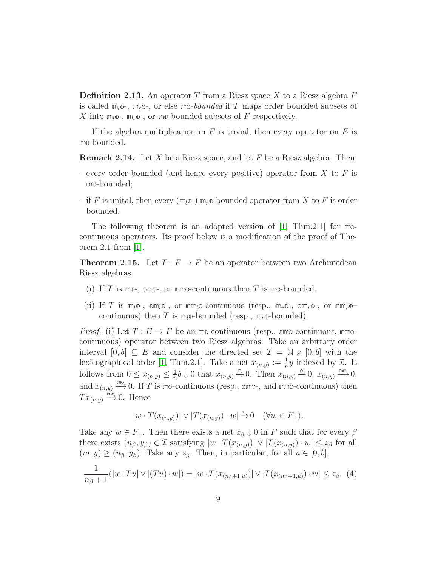**Definition 2.13.** An operator T from a Riesz space X to a Riesz algebra F is called  $m_l$ <sup>o-</sup>,  $m_r$ <sup>o-</sup>, or else  $m$ <sup>o</sup>-bounded if T maps order bounded subsets of X into  $m_l \circledcirc$ ,  $m_r \circledcirc$ , or mo-bounded subsets of F respectively.

If the algebra multiplication in  $E$  is trivial, then every operator on  $E$  is **mo**-bounded.

**Remark 2.14.** Let X be a Riesz space, and let F be a Riesz algebra. Then:

- every order bounded (and hence every positive) operator from  $X$  to  $F$  is **mo**-bounded;
- if F is unital, then every  $(m_l \circledcirc)$   $m_r \circledcirc$ -bounded operator from X to F is order bounded.

The following theorem is an adopted version of [\[1,](#page-12-13) Thm.2.1] for **mo**continuous operators. Its proof below is a modification of the proof of Theorem 2.1 from [\[1\]](#page-12-13).

**Theorem 2.15.** Let  $T : E \to F$  be an operator between two Archimedean Riesz algebras.

- (i) If T is **mo**-, **omo**-, or **rmo**-continuous then T is **mo**-bounded.
- (ii) If T is  $m_l \circledcirc$ -,  $\circledcirc m_l \circledcirc$ -, or  $\mathbf{r} \circledcirc \mathbf{r} \circledcirc \mathbf{r}$  (resp.,  $m_r \circledcirc$ -,  $\circledcirc \mathbf{r} \circledcirc \mathbf{r} \circledcirc \mathbf{r} \circledcirc \mathbf{r} \circledcirc \mathbf{r}$ continuous) then T is  $m_l$ **o**-bounded (resp.,  $m_r$ **o**-bounded).

*Proof.* (i) Let  $T: E \to F$  be an mo-continuous (resp., omo-continuous, rmocontinuous) operator between two Riesz algebras. Take an arbitrary order interval  $[0, b] \subseteq E$  and consider the directed set  $\mathcal{I} = \mathbb{N} \times [0, b]$  with the lexicographical order [\[1,](#page-12-13) Thm.2.1]. Take a net  $x_{(n,y)} := \frac{1}{n}y$  indexed by  $\mathcal{I}$ . It follows from  $0 \leq x_{(n,y)} \leq \frac{1}{n}$  $\frac{1}{n}b \downarrow 0$  that  $x_{(n,y)} \stackrel{\mathbb{F}_{\text{p}}}{\longrightarrow} 0$ . Then  $x_{(n,y)} \stackrel{\mathbb{e}_{\text{p}}}{\longrightarrow} 0$ ,  $x_{(n,y)} \stackrel{\text{m}{\mathbb{F}}}{\longrightarrow} 0$ , and  $x_{(n,y)} \stackrel{\text{mod}}{\longrightarrow} 0$ . If T is mo-continuous (resp., omo-, and  $\text{rmo-continuous}$ ) then  $Tx_{(n,y)} \stackrel{\text{imo}}{\longrightarrow} 0$ . Hence

$$
|w \cdot T(x_{(n,y)})| \vee |T(x_{(n,y)}) \cdot w| \xrightarrow{\mathbb{O}} 0 \quad (\forall w \in F_+).
$$

Take any  $w \in F_+$ . Then there exists a net  $z_\beta \downarrow 0$  in F such that for every  $\beta$ there exists  $(n_\beta, y_\beta) \in \mathcal{I}$  satisfying  $|w \cdot T(x_{(n,y)})| \vee |T(x_{(n,y)}) \cdot w| \leq z_\beta$  for all  $(m, y) \ge (n_\beta, y_\beta)$ . Take any  $z_\beta$ . Then, in particular, for all  $u \in [0, b]$ ,

$$
\frac{1}{n_{\beta}+1}(|w \cdot Tu| \vee |(Tu) \cdot w|) = |w \cdot T(x_{(n_{\beta}+1,u)})| \vee |T(x_{(n_{\beta}+1,u)}) \cdot w| \leq z_{\beta}. \tag{4}
$$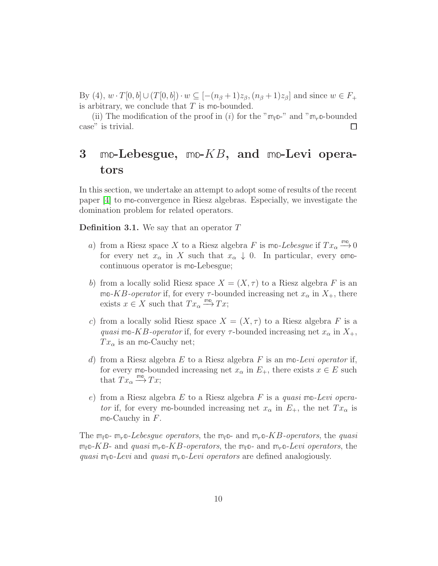By (4),  $w \cdot T[0, b] \cup (T[0, b]) \cdot w \subseteq [-(n_\beta + 1)z_\beta, (n_\beta + 1)z_\beta]$  and since  $w \in F_+$ is arbitrary, we conclude that T is **mo**-bounded.

(ii) The modification of the proof in (i) for the " $m_l \omega$ -" and " $m_r \omega$ -bounded case" is trivial.  $\Box$ 

## 3 **mo**-Lebesgue, **mo**-KB, and **mo**-Levi operators

In this section, we undertake an attempt to adopt some of results of the recent paper [\[4\]](#page-12-14) to **mo**-convergence in Riesz algebras. Especially, we investigate the domination problem for related operators.

<span id="page-9-0"></span>**Definition 3.1.** We say that an operator  $T$ 

- a) from a Riesz space X to a Riesz algebra F is  $\text{mo-}Lebesgue$  if  $Tx_\alpha \overset{\text{mo}}{\longrightarrow} 0$ for every net  $x_{\alpha}$  in X such that  $x_{\alpha} \downarrow 0$ . In particular, every omocontinuous operator is **mo**-Lebesgue;
- b) from a locally solid Riesz space  $X = (X, \tau)$  to a Riesz algebra F is an **mo-KB**-operator if, for every  $τ$ -bounded increasing net  $x_\alpha$  in  $X_+$ , there exists  $x \in X$  such that  $Tx_\alpha \stackrel{\text{mod}}{\longrightarrow} Tx;$
- c) from a locally solid Riesz space  $X = (X, \tau)$  to a Riesz algebra F is a quasi mo-KB-operator if, for every  $\tau$ -bounded increasing net  $x_{\alpha}$  in  $X_{+}$ ,  $Tx_{\alpha}$  is an mo-Cauchy net;
- d) from a Riesz algebra E to a Riesz algebra F is an **mo**-Levi operator if, for every mo-bounded increasing net  $x_{\alpha}$  in  $E_{+}$ , there exists  $x \in E$  such that  $Tx_{\alpha} \stackrel{\text{mo}}{\longrightarrow} Tx;$
- e) from a Riesz algebra E to a Riesz algebra F is a quasi **mo**-Levi opera*tor* if, for every mo-bounded increasing net  $x_{\alpha}$  in  $E_{+}$ , the net  $Tx_{\alpha}$  is **mo**-Cauchy in F .

The  $m_l$ **o**-  $m_r$ **o**-Lebesgue operators, the  $m_l$ **o**- and  $m_r$ **o**-KB-operators, the quasi  $m_l$ **o**-KB- and quasi  $m_r$ **o**-KB-operators, the  $m_l$ **o**- and  $m_r$ **o**-Levi operators, the quasi  $m_l$ <sup>o</sup>-Levi and quasi  $m_r$ <sup>o-Levi</sup> operators are defined analogiously.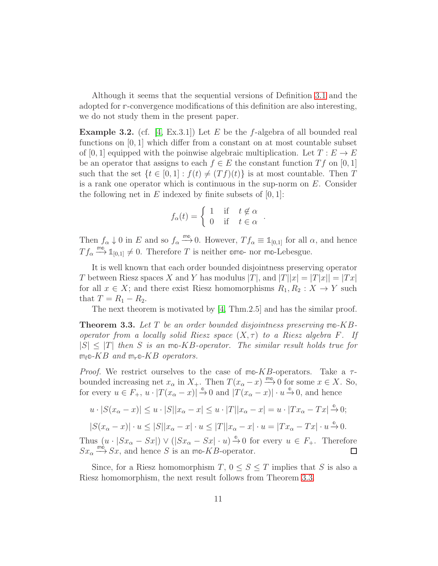Although it seems that the sequential versions of Definition [3.1](#page-9-0) and the adopted for **r**-convergence modifications of this definition are also interesting, we do not study them in the present paper.

**Example 3.2.** (cf. [\[4,](#page-12-14) Ex.3.1]) Let E be the f-algebra of all bounded real functions on  $[0, 1]$  which differ from a constant on at most countable subset of [0, 1] equipped with the poinwise algebraic multiplication. Let  $T : E \to E$ be an operator that assigns to each  $f \in E$  the constant function  $T f$  on [0, 1] such that the set  $\{t \in [0,1]: f(t) \neq (T f)(t)\}\$ is at most countable. Then T is a rank one operator which is continuous in the sup-norm on  $E$ . Consider the following net in  $E$  indexed by finite subsets of  $[0, 1]$ :

$$
f_{\alpha}(t) = \begin{cases} 1 & \text{if } t \notin \alpha \\ 0 & \text{if } t \in \alpha \end{cases}.
$$

Then  $f_{\alpha} \downarrow 0$  in E and so  $f_{\alpha} \stackrel{\text{mod}}{\longrightarrow} 0$ . However,  $T f_{\alpha} \equiv \mathbb{1}_{[0,1]}$  for all  $\alpha$ , and hence  $T f_{\alpha} \stackrel{\text{m0}}{\longrightarrow} \mathbb{1}_{[0,1]} \neq 0$ . Therefore T is neither **omo**- nor **mo**-Lebesgue.

It is well known that each order bounded disjointness preserving operator T between Riesz spaces X and Y has modulus  $|T|$ , and  $|T||x| = |T|x|| = |Tx|$ for all  $x \in X$ ; and there exist Riesz homomorphisms  $R_1, R_2 : X \to Y$  such that  $T = R_1 - R_2$ .

The next theorem is motivated by [\[4,](#page-12-14) Thm.2.5] and has the similar proof.

<span id="page-10-0"></span>Theorem 3.3. Let T be an order bounded disjointness preserving **mo**-KBoperator from a locally solid Riesz space  $(X, \tau)$  to a Riesz algebra F. If  $|S| \leq |T|$  then S is an mo-KB-operator. The similar result holds true for  $m_l \circ K \circ B$  and  $m_r \circ K \circ B$  operators.

*Proof.* We restrict ourselves to the case of  $m\text{-}KB$ -operators. Take a  $\tau$ bounded increasing net  $x_{\alpha}$  in  $X_+$ . Then  $T(x_{\alpha}-x) \stackrel{\text{mod}}{\longrightarrow} 0$  for some  $x \in X$ . So, for every  $u \in F_+$ ,  $u \cdot |T(x_\alpha - x)| \stackrel{\circ}{\rightarrow} 0$  and  $|T(x_\alpha - x)| \cdot u \stackrel{\circ}{\rightarrow} 0$ , and hence

$$
u \cdot |S(x_{\alpha} - x)| \le u \cdot |S||x_{\alpha} - x| \le u \cdot |T||x_{\alpha} - x| = u \cdot |Tx_{\alpha} - Tx| \xrightarrow{\mathbb{0}} 0;
$$

$$
|S(x_{\alpha}-x)| \cdot u \leq |S||x_{\alpha}-x| \cdot u \leq |T||x_{\alpha}-x| \cdot u = |Tx_{\alpha}-Tx| \cdot u \xrightarrow{\mathbb{0}} 0.
$$

Thus  $(u \cdot |Sx_{\alpha} - Sx|) \vee (|Sx_{\alpha} - Sx| \cdot u) \stackrel{\circ}{\rightarrow} 0$  for every  $u \in F_{+}$ . Therefore  $Sx_{\alpha} \stackrel{\text{mod}}{\longrightarrow} Sx$ , and hence S is an mo-KB-operator.  $\Box$ 

Since, for a Riesz homomorphism  $T, 0 \leq S \leq T$  implies that S is also a Riesz homomorphism, the next result follows from Theorem [3.3.](#page-10-0)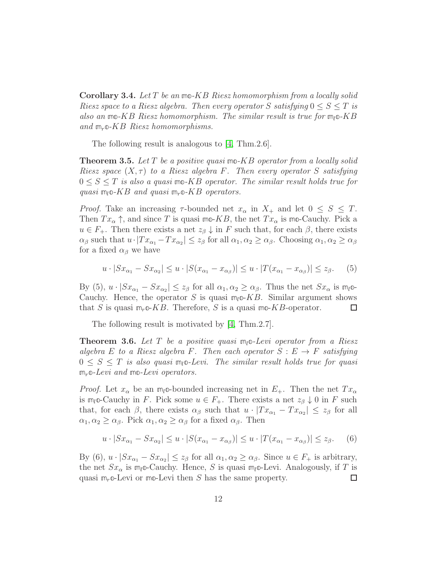Corollary 3.4. Let T be an **mo**-KB Riesz homomorphism from a locally solid Riesz space to a Riesz algebra. Then every operator S satisfying  $0 \leq S \leq T$  is also an **mo**-KB Riesz homomorphism. The similar result is true for **m**l**o**-KB and **m**r**o**-KB Riesz homomorphisms.

The following result is analogous to [\[4,](#page-12-14) Thm.2.6].

Theorem 3.5. Let T be a positive quasi **mo**-KB operator from a locally solid Riesz space  $(X, \tau)$  to a Riesz algebra F. Then every operator S satisfying  $0 \leq S \leq T$  is also a quasi mo-KB operator. The similar result holds true for quasi  $m_l \circ K \circ B$  and quasi  $m_r \circ K \circ B$  operators.

*Proof.* Take an increasing  $\tau$ -bounded net  $x_{\alpha}$  in  $X_{+}$  and let  $0 \leq S \leq T$ . Then  $Tx_\alpha \uparrow$ , and since T is quasi mo-KB, the net  $Tx_\alpha$  is mo-Cauchy. Pick a  $u \in F_+$ . Then there exists a net  $z_\beta \downarrow$  in F such that, for each  $\beta$ , there exists  $\alpha_{\beta}$  such that  $u \cdot |Tx_{\alpha_1} - Tx_{\alpha_2}| \leq z_{\beta}$  for all  $\alpha_1, \alpha_2 \geq \alpha_{\beta}$ . Choosing  $\alpha_1, \alpha_2 \geq \alpha_{\beta}$ for a fixed  $\alpha_{\beta}$  we have

$$
u \cdot |Sx_{\alpha_1} - Sx_{\alpha_2}| \le u \cdot |S(x_{\alpha_1} - x_{\alpha_\beta})| \le u \cdot |T(x_{\alpha_1} - x_{\alpha_\beta})| \le z_\beta. \tag{5}
$$

By (5),  $u \cdot |Sx_{\alpha_1} - Sx_{\alpha_2}| \le z_\beta$  for all  $\alpha_1, \alpha_2 \ge \alpha_\beta$ . Thus the net  $Sx_\alpha$  is  $m_l \circledcirc$ Cauchy. Hence, the operator S is quasi  $m_l \circ K B$ . Similar argument shows that S is quasi  $m_r \in KB$ . Therefore, S is a quasi  $mo$ -KB-operator.  $\Box$ 

The following result is motivated by [\[4,](#page-12-14) Thm.2.7].

Theorem 3.6. Let T be a positive quasi **m**l**o**-Levi operator from a Riesz algebra E to a Riesz algebra F. Then each operator  $S : E \to F$  satisfying 0 ≤ S ≤ T is also quasi **m**l**o**-Levi. The similar result holds true for quasi **m**r**o**-Levi and **mo**-Levi operators.

*Proof.* Let  $x_{\alpha}$  be an  $m_l$ <sup>o-bounded increasing net in  $E_+$ . Then the net  $Tx_{\alpha}$ </sup> is  $m_l$ **o-Cauchy** in F. Pick some  $u \in F_+$ . There exists a net  $z_\beta \downarrow 0$  in F such that, for each  $\beta$ , there exists  $\alpha_{\beta}$  such that  $u \cdot |Tx_{\alpha_1} - Tx_{\alpha_2}| \leq z_{\beta}$  for all  $\alpha_1, \alpha_2 \geq \alpha_{\beta}$ . Pick  $\alpha_1, \alpha_2 \geq \alpha_{\beta}$  for a fixed  $\alpha_{\beta}$ . Then

$$
u \cdot |Sx_{\alpha_1} - Sx_{\alpha_2}| \le u \cdot |S(x_{\alpha_1} - x_{\alpha_\beta})| \le u \cdot |T(x_{\alpha_1} - x_{\alpha_\beta})| \le z_\beta. \tag{6}
$$

By (6),  $u \cdot |Sx_{\alpha_1} - Sx_{\alpha_2}| \le z_\beta$  for all  $\alpha_1, \alpha_2 \ge \alpha_\beta$ . Since  $u \in F_+$  is arbitrary, the net  $Sx_{\alpha}$  is  $m_l$ <sup>o</sup>-Cauchy. Hence, S is quasi  $m_l$ <sup>o</sup>-Levi. Analogously, if T is quasi **m**r**o**-Levi or **mo**-Levi then S has the same property.  $\Box$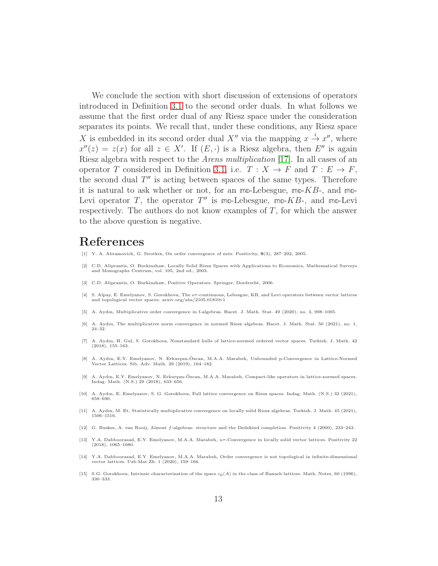We conclude the section with short discussion of extensions of operators introduced in Definition [3.1](#page-9-0) to the second order duals. In what follows we assume that the first order dual of any Riesz space under the consideration separates its points. We recall that, under these conditions, any Riesz space X is embedded in its second order dual X'' via the mapping  $x \stackrel{i}{\rightarrow} x'$ '', where  $x''(z) = z(x)$  for all  $z \in X'$ . If  $(E, \cdot)$  is a Riesz algebra, then E'' is again Riesz algebra with respect to the Arens multiplication [\[17\]](#page-13-7). In all cases of an operator T considered in Definition [3.1,](#page-9-0) i.e.  $T : X \to F$  and  $T : E \to F$ , the second dual  $T''$  is acting between spaces of the same types. Therefore it is natural to ask whether or not, for an **mo**-Lebesgue, **mo**-KB-, and **mo**-Levi operator  $T$ , the operator  $T''$  is mo-Lebesgue, mo- $KB$ -, and mo-Levi respectively. The authors do not know examples of  $T$ , for which the answer to the above question is negative.

#### References

- <span id="page-12-13"></span>[1] Y. A. Abramovich, G. Sirotkin, On order convergence of nets. Positivity, 9(3), 287–292, 2005.
- <span id="page-12-7"></span>[2] C.D. Aliprantis, O. Burkinshaw, Locally Solid Riesz Spaces with Applications to Economics, Mathematical Surveys and Monographs Centrum, vol. 105, 2nd ed., 2003.
- <span id="page-12-14"></span><span id="page-12-8"></span>[3] C.D. Aliprantis, O. Burkinshaw, Positive Operators. Springer, Dordrecht, 2006.
- [4] S. Alpay, E. Emelyanov, S. Gorokhova, The or-continuous, Lebesgue, KB, and Levi operators between vector lattices and topological vector spaces. arxiv.org/abs/2105.01810v1
- <span id="page-12-5"></span><span id="page-12-4"></span>[5] A. Aydın, Multiplicative order convergence in f-algebras. Hacet. J. Math. Stat. 49 (2020), no. 3, 998–1005.
- [6] A. Aydın, The multiplicative norm convergence in normed Riesz algebras. Hacet. J. Math. Stat. 50 (2021), no. 1, 24–32.
- <span id="page-12-12"></span>[7] A. Aydın, H. Gul, S. Gorokhova, Nonstandard hulls of lattice-normed ordered vector spaces. Turkish. J. Math. 42 (2018), 155–163.
- <span id="page-12-3"></span>[8] A. Aydın, E.Y. Emelyanov, N. Erkurşun-Özcan, M.A.A. Marabeh, Unbounded p-Convergence in Lattice-Normed Vector Lattices. Sib. Adv. Math. 29 (2019), 164–182.
- <span id="page-12-6"></span>[9] A. Aydın, E.Y. Emelyanov, N. Erkurşun-Özcan, M.A.A. Marabeh, Compact-like operators in lattice-normed spaces. Indag. Math. (N.S.) 29 (2018), 633–656.
- <span id="page-12-9"></span>[10] A. Aydın, E. Emelyanov, S. G. Gorokhova, Full lattice convergence on Riesz spaces. Indag. Math. (N.S.) 32 (2021), 658–690.
- <span id="page-12-11"></span>[11] A. Aydın, M. Et, Statistically multiplicative convergence on locally solid Riesz algebras. Turkish. J. Math. 45 (2021), 1506–1516.
- <span id="page-12-10"></span>[12] G. Buskes, A. van Rooij, Almost f-algebras: structure and the Dedekind completion. Positivity 4 (2000), 233–243.
- <span id="page-12-0"></span>[13] Y.A. Dabboorasad, E.Y. Emelyanov, M.A.A. Marabeh, uT-Convergence in locally solid vector lattices. Positivity 22 (2018), 1065–1080.
- <span id="page-12-1"></span>[14] Y.A. Dabboorasad, E.Y. Emelyanov, M.A.A. Marabeh, Order convergence is not topological in infinite-dimensional vector lattices. Uzb.Mat.Zh. 1 (2020), 159–166.
- <span id="page-12-2"></span>[15] S.G. Gorokhova, Intrinsic characterization of the space  $c_0(A)$  in the class of Banach lattices. Math. Notes, 60 (1996), 330–333.